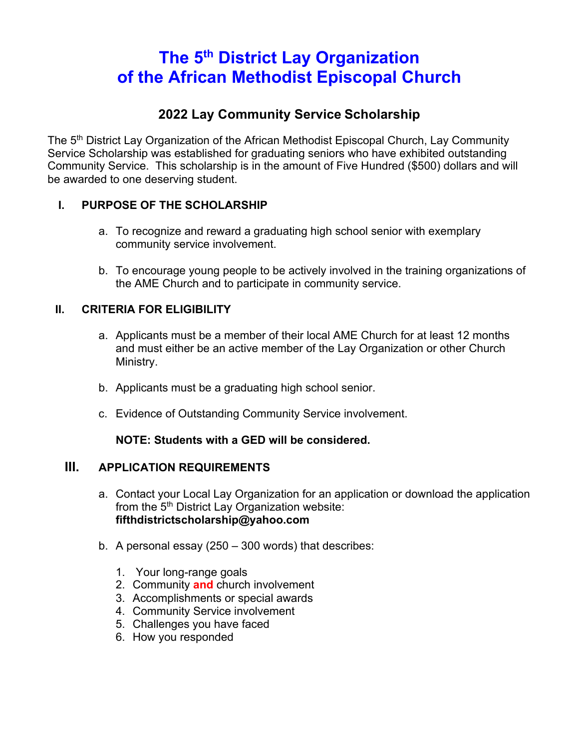# **The 5th District Lay Organization of the African Methodist Episcopal Church**

### **2022 Lay Community Service Scholarship**

The 5<sup>th</sup> District Lay Organization of the African Methodist Episcopal Church, Lay Community Service Scholarship was established for graduating seniors who have exhibited outstanding Community Service. This scholarship is in the amount of Five Hundred (\$500) dollars and will be awarded to one deserving student.

#### **I. PURPOSE OF THE SCHOLARSHIP**

- a. To recognize and reward a graduating high school senior with exemplary community service involvement.
- b. To encourage young people to be actively involved in the training organizations of the AME Church and to participate in community service.

#### **II. CRITERIA FOR ELIGIBILITY**

- a. Applicants must be a member of their local AME Church for at least 12 months and must either be an active member of the Lay Organization or other Church Ministry.
- b. Applicants must be a graduating high school senior.
- c. Evidence of Outstanding Community Service involvement.

#### **NOTE: Students with a GED will be considered.**

#### **III. APPLICATION REQUIREMENTS**

- a. Contact your Local Lay Organization for an application or download the application from the  $5<sup>th</sup>$  District Lay Organization website: **fifthdistrictscholarship@yahoo.com**
- b. A personal essay (250 300 words) that describes:
	- 1. Your long-range goals
	- 2. Community **and** church involvement
	- 3. Accomplishments or special awards
	- 4. Community Service involvement
	- 5. Challenges you have faced
	- 6. How you responded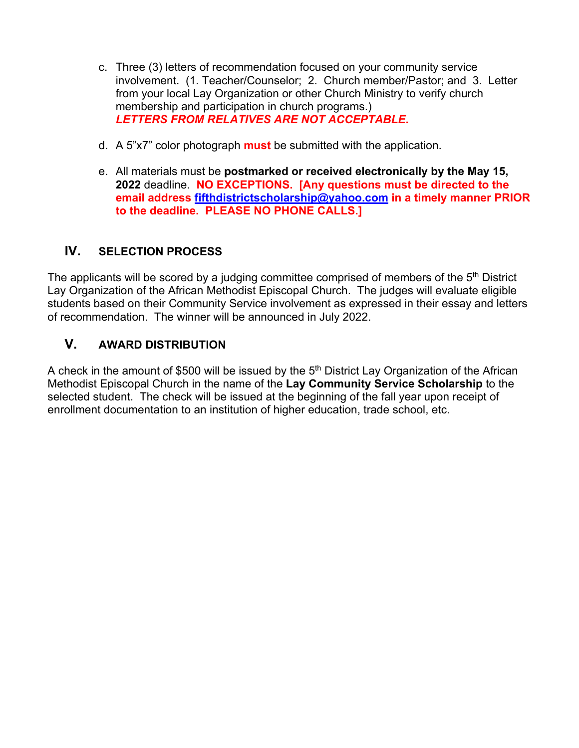- c. Three (3) letters of recommendation focused on your community service involvement. (1. Teacher/Counselor; 2. Church member/Pastor; and 3. Letter from your local Lay Organization or other Church Ministry to verify church membership and participation in church programs.) *LETTERS FROM RELATIVES ARE NOT ACCEPTABLE***.**
- d. A 5"x7" color photograph **must** be submitted with the application.
- e. All materials must be **postmarked or received electronically by the May 15, 2022** deadline. **NO EXCEPTIONS. [Any questions must be directed to the email address fifthdistrictscholarship@yahoo.com in a timely manner PRIOR to the deadline. PLEASE NO PHONE CALLS.]**

#### **IV. SELECTION PROCESS**

The applicants will be scored by a judging committee comprised of members of the 5<sup>th</sup> District Lay Organization of the African Methodist Episcopal Church. The judges will evaluate eligible students based on their Community Service involvement as expressed in their essay and letters of recommendation. The winner will be announced in July 2022.

#### **V. AWARD DISTRIBUTION**

A check in the amount of \$500 will be issued by the  $5<sup>th</sup>$  District Lay Organization of the African Methodist Episcopal Church in the name of the **Lay Community Service Scholarship** to the selected student. The check will be issued at the beginning of the fall year upon receipt of enrollment documentation to an institution of higher education, trade school, etc.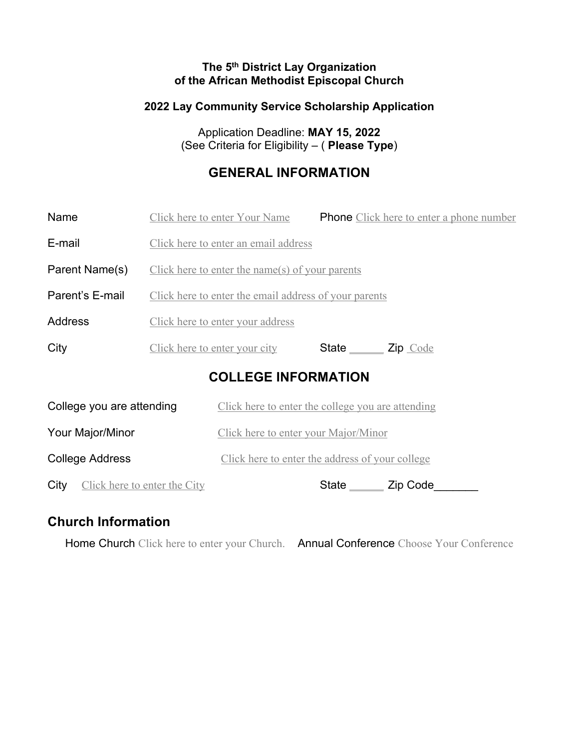#### **The 5th District Lay Organization of the African Methodist Episcopal Church**

#### **2022 Lay Community Service Scholarship Application**

Application Deadline: **MAY 15, 2022** (See Criteria for Eligibility – ( **Please Type**)

### **GENERAL INFORMATION**

| Name                                 | Click here to enter Your Name                         |                                                   | <b>Phone</b> Click here to enter a phone number |
|--------------------------------------|-------------------------------------------------------|---------------------------------------------------|-------------------------------------------------|
| E-mail                               | Click here to enter an email address                  |                                                   |                                                 |
| Parent Name(s)                       | Click here to enter the name(s) of your parents       |                                                   |                                                 |
| Parent's E-mail                      | Click here to enter the email address of your parents |                                                   |                                                 |
| <b>Address</b>                       | Click here to enter your address                      |                                                   |                                                 |
| City                                 | <u>Click here to enter your city</u>                  | State <u>Code</u>                                 |                                                 |
| <b>COLLEGE INFORMATION</b>           |                                                       |                                                   |                                                 |
| College you are attending            |                                                       | Click here to enter the college you are attending |                                                 |
| Your Major/Minor                     |                                                       | Click here to enter your Major/Minor              |                                                 |
| <b>College Address</b>               |                                                       | Click here to enter the address of your college   |                                                 |
| Click here to enter the City<br>City |                                                       | State _______ Zip Code_                           |                                                 |

### **Church Information**

Home Church Click here to enter your Church. Annual Conference Choose Your Conference